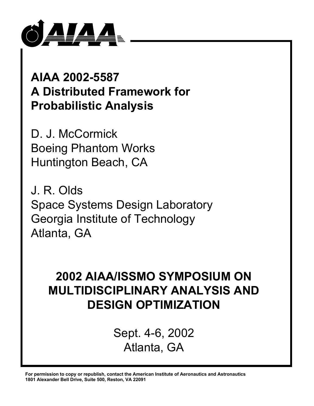

**AIAA 2002-5587 A Distributed Framework for Probabilistic Analysis**

D. J. McCormick Boeing Phantom Works Huntington Beach, CA

J. R. Olds Space Systems Design Laboratory Georgia Institute of Technology Atlanta, GA

# **2002 AIAA/ISSMO SYMPOSIUM ON MULTIDISCIPLINARY ANALYSIS AND DESIGN OPTIMIZATION**

Sept. 4-6, 2002 Atlanta, GA

**For permission to copy or republish, contact the American Institute of Aeronautics and Astronautics 1801 Alexander Bell Drive, Suite 500, Reston, VA 22091**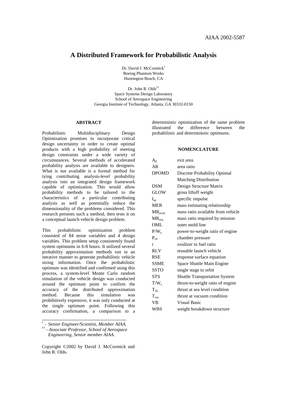# **A Distributed Framework for Probabilistic Analysis**

Dr. David J. McCormick † Boeing Phantom Works Huntington Beach, CA

Dr. John R. Olds †† Space Systems Design Laboratory School of Aerospace Engineering Georgia Institute of Technology, Atlanta, GA 30332-0150

# **ABSTRACT**

Probabilistic Multidisciplinary Design Optimization promises to incorporate critical design uncertainty in order to create optimal products with a high probability of meeting design constraints under a wide variety of circumstances. Several methods of accelerated probability analysis are available to designers. What is not available is a formal method for tying contributing analysis-level probability analysis into an integrated design framework capable of optimization. This would allow probability methods to be tailored to the characteristics of a particular contributing analysis as well as potentially reduce the dimensionality of the problems considered. This research presents such a method, then tests it on a conceptual launch vehicle design problem.

This probabilistic optimization problem consisted of 84 noise variables and 4 design variables. This problem setup consistently found system optimums in 6-8 hours. It utilized several probability approximation methods run in an iterative manner to generate probabilistic vehicle sizing information. Once the probabilistic optimum was identified and confirmed using this process, a system-level Monte Carlo random simulation of the vehicle design was conducted around the optimum point to confirm the accuracy of the distributed approximation method. Because this simulation was prohibitively expensive, it was only conducted at the single optimum point. Following this accuracy confirmation, a comparison to a

deterministic optimization of the same problem illustrated the difference between the probabilistic and deterministic optimums.

# **NOMENCLATURE**

| $\rm A_E$           | exit area                            |
|---------------------|--------------------------------------|
| AR                  | area ratio                           |
| <b>DPOMD</b>        | Discrete Probability Optimal         |
|                     | <b>Matching Distribution</b>         |
| <b>DSM</b>          | Design Structure Matrix              |
| <b>GLOW</b>         | gross liftoff weight                 |
| $I_{sp}$            | specific impulse                     |
| <b>MER</b>          | mass estimating relationship         |
| $MR_{\text{avail}}$ | mass ratio available from vehicle    |
| $MR_{req}$          | mass ratio required by mission       |
| <b>OML</b>          | outer mold line                      |
| $P/W_e$             | power-to-weight ratio of engine      |
| $P_{ch}$            | chamber pressure                     |
| r                   | oxidizer to fuel ratio               |
| <b>RLV</b>          | reusable launch vehicle              |
| <b>RSE</b>          | response surface equation            |
| <b>SSME</b>         | Space Shuttle Main Engine            |
| <b>SSTO</b>         | single stage to orbit                |
| <b>STS</b>          | <b>Shuttle Transportation System</b> |
| $T/W_e$             | thrust-to-weight ratio of engine     |
| $T_{SL}$            | thrust at sea level condition        |
| $T_{\rm vac}$       | thrust at vacuum condition           |
| <b>VB</b>           | <b>Visual Basic</b>                  |
| <b>WBS</b>          | weight breakdown structure           |

<sup>†</sup> *- Senior Engineer/Scientist, Member AIAA.*

<sup>†</sup> † *- Associate Professor, School of Aerospace Engineering, Senior member AIAA.*

Copyright ©2002 by David J. McCormick and John R. Olds.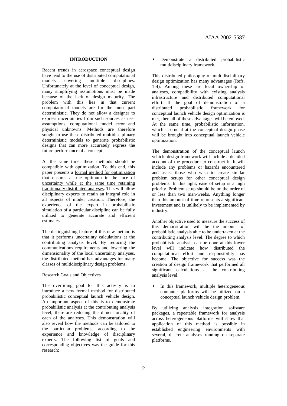## **INTRODUCTION**

Recent trends in aerospace conceptual design have lead to the use of distributed computational models covering multiple disciplines. Unfortunately at the level of conceptual design, many simplifying assumptions must be made because of the lack of design maturity. The problem with this lies in that current computational models are for the most part deterministic. They do not allow a designer to express uncertainties from such sources as user assumptions, computational model error and physical unknowns. Methods are therefore sought to use these distributed multidisciplinary deterministic models to generate probabilistic designs that can more accurately express the future performance of a concept.

At the same time, these methods should be compatible with optimization. To this end, this paper presents a formal method for optimization that ensures a true optimum in the face of uncertainty while at the same time retaining traditionally distributed analyses. This will allow disciplinary experts to retain an integral role in all aspects of model creation. Therefore, the experience of the expert in probabilistic simulation of a particular discipline can be fully utilized to generate accurate and efficient estimates.

The distinguishing feature of this new method is that it performs uncertainty calculations at the contributing analysis level. By reducing the communications requirements and lowering the dimensionality of the local uncertainty analyses, the distributed method has advantages for many classes of multidisciplinary design problems.

#### Research Goals and Objectives

The overriding goal for this activity is to introduce a new formal method for distributed probabilistic conceptual launch vehicle design. An important aspect of this is to demonstrate probabilistic analysis at the contributing analysis level, therefore reducing the dimensionality of each of the analyses. This demonstration will also reveal how the methods can be tailored to the particular problems, according to the experience and knowledge of disciplinary experts. The following list of goals and corresponding objectives was the guide for this research:

• Demonstrate a distributed probabilistic multidisciplinary framework.

This distributed philosophy of multidisciplinary design optimization has many advantages (Refs. 1-4). Among these are local ownership of analyses, compatibility with existing analysis infrastructure and distributed computational effort. If the goal of demonstration of a distributed probabilistic framework for conceptual launch vehicle design optimization is met, then all of these advantages will be enjoyed. At the same time, probabilistic information, which is crucial at the conceptual design phase will be brought into conceptual launch vehicle optimization.

The demonstration of the conceptual launch vehicle design framework will include a detailed account of the procedure to construct it. It will include any problems or hazards encountered and assist those who wish to create similar problem setups for other conceptual design problems. In this light, ease of setup is a high priority. Problem setup should be on the order of or less than two man-weeks. Anything longer than this amount of time represents a significant investment and is unlikely to be implemented by industry.

Another objective used to measure the success of this demonstration will be the amount of probabilistic analysis able to be undertaken at the contributing analysis level. The degree to which probabilistic analysis can be done at this lower level will indicate how distributed the computational effort and responsibility has become. The objective for success was the creation of design framework that performed all significant calculations at the contributing analysis level.

In this framework, multiple heterogeneous computer platforms will be utilized on a conceptual launch vehicle design problem.

By utilizing analysis integration software packages, a repeatable framework for analysis across heterogeneous platforms will show that application of this method is possible in established engineering environments with several, discrete analyses running on separate platforms.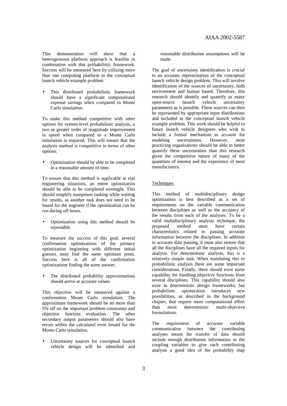This demonstration will show that a heterogeneous platform approach is feasible in combination with this probabilistic framework. Success will be measured here by utilizing more than one computing platform in the conceptual launch vehicle example problem.

• This distributed probabilistic framework should have a significant computational expense savings when compared to Monte Carlo simulation.

To make this method competitive with other options for system-level probabilistic analysis, a two or greater order of magnitude improvement in speed when compared to a Monte Carlo simulation is required. This will ensure that the analysis method is competitive in terms of other options.

• Optimization should be able to be completed in a reasonable amount of time.

To ensure that this method is applicable in real engineering situations, an entire optimization should be able to be completed overnight. This should simplify manpower tasking while waiting for results, as another task does not need to be found for the engineer if the optimization can be run during off hours.

• Optimization using this method should be repeatable.

To measure the success of this goal, several confirmation optimizations of the primary optimization beginning with different initial guesses must find the same optimum point. Success here is all of the confirmation optimizations finding the same answer.

The distributed probability approximations should arrive at accurate values.

This objective will be measured against a confirmation Monte Carlo simulation. The approximate framework should be no more than 5% off on the important problem constraints and objective function evaluation. The other secondary output parameters should also have errors within the calculated error bound for the Monte Carlo simulation.

Uncertainty sources for conceptual launch vehicle design will be identified and

reasonable distribution assumptions will be made.

The goal of uncertainty identification is crucial to an accurate representation of the conceptual launch vehicle design problem. This will involve identification of the sources of uncertainty, both environment and human based. Therefore, this research should identify and quantify as many open-source launch vehicle uncertainty parameters as is possible. These sources can then be represented by appropriate input distributions and included in the conceptual launch vehicle example problem. This work should be helpful to future launch vehicle designers who wish to include a formal mechanism to account for modeling uncertainties. However, most practicing organizations should be able to better quantify these uncertainties than this research given the competitive nature of many of the quantities of interest and the experience of most manufacturers.

# Techniques

This method of multidisciplinary design optimization is best described as a set of requirements on the variable communication between disciplines as well as the accuracy of the results from each of the analyses. To be a valid multidisciplinary analysis technique, the proposed method must have certain proposed method must have certain characteristics related to passing accurate information between the disciplines. In addition to accurate data passing, it must also ensure that all the disciplines have all the required inputs for analysis. For deterministic analysis, this is a relatively simple task. When translating this to probabilistic analysis there are some important considerations. Finally, there should exist some capability for handling objective functions from several disciplines. This capability should also exist in deterministic design frameworks, but probabilistic optimization introduces new possibilities, as described in the background chapter, that require more computational effort than most deterministic multi-objective formulations.

The requirement of accurate variable communication between the contributing analyses meant the transfer of data should include enough distribution information in the coupling variables to give each contributing analysis a good idea of the probability map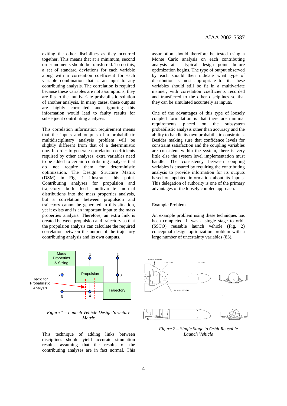exiting the other disciplines as they occurred together. This means that at a minimum, second order moments should be transferred. To do this, a set of standard deviations for each variable along with a correlation coefficient for each variable combination that is an input to any contributing analysis. The correlation is required because these variables are not assumptions, they are fits to the multivariate probabilistic solution of another analysis. In many cases, these outputs are highly correlated and ignoring this information would lead to faulty results for subsequent contributing analyses.

This correlation information requirement means that the inputs and outputs of a probabilistic multidisciplinary analysis problem will be slightly different from that of a deterministic one. In order to generate correlation coefficients required by other analyses, extra variables need to be added to certain contributing analyses that do not require them for deterministic optimization. The Design Structure Matrix (DSM) in Fig. 1 illustrates this point. Contributing analyses for propulsion and trajectory both feed multivariate normal distributions into the mass properties analysis, but a correlation between propulsion and trajectory cannot be generated in this situation, yet it exists and is an important input to the mass properties analysis. Therefore, an extra link is created between propulsion and trajectory so that the propulsion analysis can calculate the required correlation between the output of the trajectory contributing analysis and its own outputs.



# *Figure 1 – Launch Vehicle Design Structure Matrix*

This technique of adding links between disciplines should yield accurate simulation results, assuming that the results of the contributing analyses are in fact normal. This

assumption should therefore be tested using a Monte Carlo analysis on each contributing analysis at a typical design point, before optimization begins. The type of output observed by each should then indicate what type of distribution is most appropriate to fit. These variables should still be fit in a multivariate manner, with correlation coefficients recorded and transferred to the other disciplines so that they can be simulated accurately as inputs.

One of the advantages of this type of loosely coupled formulation is that there are minimal requirements placed on the subsystem probabilistic analysis other than accuracy and the ability to handle its own probabilistic constraints. Besides making sure that confidence levels for constraint satisfaction and the coupling variables are consistent within the system, there is very little else the system level implementation must handle. The consistency between coupling variables is ensured by requiring the contributing analysis to provide information for its outputs based on updated information about its inputs. This delegation of authority is one of the primary advantages of the loosely coupled approach.

#### Example Problem

An example problem using these techniques has been completed. It was a single stage to orbit (SSTO) reusable launch vehicle (Fig. 2) conceptual design optimization problem with a large number of uncertainty variables (83).



*Figure 2 – Single Stage to Orbit Reusable Launch Vehicle*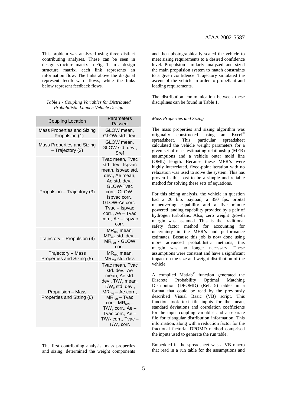This problem was analyzed using three distinct contributing analyses. These can be seen in design structure matrix in Fig. 1. In a design structure matrix, each link represents an information flow. The links above the diagonal represent feedforward flows, while the links below represent feedback flows.

# *Table 1 - Coupling Variables for Distributed Probabilistic Launch Vehicle Design*

| <b>Coupling Location</b>                       | Parameters<br>Passed                                                                                                                                                                                                                                               |
|------------------------------------------------|--------------------------------------------------------------------------------------------------------------------------------------------------------------------------------------------------------------------------------------------------------------------|
| Mass Properties and Sizing<br>- Propulsion (1) | GLOW mean,<br>GLOW std. dev.                                                                                                                                                                                                                                       |
| Mass Properties and Sizing<br>- Trajectory (2) | GLOW mean,<br>GLOW std. dev.,<br>Sref                                                                                                                                                                                                                              |
| Propulsion - Trajectory (3)                    | Tvac mean, Tvac<br>std. dev., Ispvac<br>mean, Ispvac std.<br>dev., Ae mean,<br>Ae std. dev.,<br>GLOW-Tvac<br>corr., GLOW-<br>Ispvac corr.,<br>GLOW-Ae corr.,<br>Tvac-Ispvac<br>corr., Ae - Tvac<br>corr., Ae - Ispvac<br>corr.                                     |
| Trajectory - Propulsion (4)                    | $MR_{\text{rea}}$ mean,<br>$MR_{req}$ std. dev.,<br>$MR_{req} - GLOW$<br>corr.                                                                                                                                                                                     |
| Trajectory - Mass<br>Properties and Sizing (5) | $MR_{\text{rea}}$ mean,<br>$MR_{\text{rea}}$ std. dev.                                                                                                                                                                                                             |
| Propulsion - Mass<br>Properties and Sizing (6) | Tvac mean, Tvac<br>std. dev., Ae<br>mean, Ae std.<br>dev., T/W <sub>e</sub> mean,<br>$T/W_e$ std. dev.,<br>$MR_{req} - Ae corr.,$<br>$MR_{req} - Tvac$<br>corr., $MR_{req}$ –<br>$T/W_e$ corr., Ae -<br>Tvac corr., Ae -<br>$T/W_e$ corr., Tvac -<br>$T/W_e$ corr. |

The first contributing analysis, mass properties and sizing, determined the weight components

and then photographically scaled the vehicle to meet sizing requirements to a desired confidence level. Propulsion similarly analyzed and sized the main propulsion system to match constraints to a given confidence. Trajectory simulated the ascent of the vehicle in order to propellant and loading requirements.

The distribution communication between these disciplines can be found in Table 1.

#### *Mass Properties and Sizing*

The mass properties and sizing algorithm was originally constructed using an Excel © spreadsheet. This particular spreadsheet calculated the vehicle weight parameters for a given set of mass estimating relationship (MER) assumptions and a vehicle outer mold line (OML) length. Because these MER's were highly interrelated, fixed-point iteration with no relaxation was used to solve the system. This has proven in this past to be a simple and reliable method for solving these sets of equations.

For this sizing analysis, the vehicle in question had a 20 klb. payload, a 350 fps. orbital maneuvering capability and a five minute powered landing capability provided by a pair of hydrogen turbofans. Also, zero weight growth margin was assumed. This is the traditional safety factor method for accounting for uncertainty in the MER's and performance estimates. Because this job is now done using more advanced probabilistic methods, this margin was no longer necessary. These assumptions were constant and have a significant impact on the size and weight distribution of the vehicle.

A compiled Matlab<sup>©</sup> function generated the Discrete Probability Optimal Matching Distribution (DPOMD) (Ref. 5) tables in a format that could be read by the previously described Visual Basic (VB) script. This function took text file inputs for the mean, standard deviations and correlation coefficients for the input coupling variables and a separate file for triangular distribution information. This information, along with a reduction factor for the fractional factorial DPOMD method comprised the inputs used to generate the run table.

Embedded in the spreadsheet was a VB macro that read in a run table for the assumptions and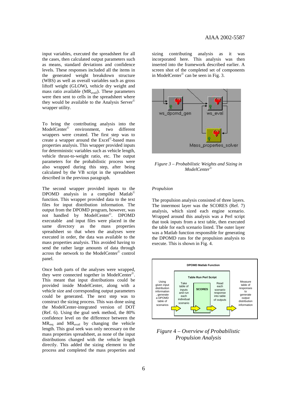input variables, executed the spreadsheet for all the cases, then calculated output parameters such as means, standard deviations and confidence levels. These responses included all the items in the generated weight breakdown structure (WBS) as well as overall variables such as gross liftoff weight (GLOW), vehicle dry weight and mass ratio available  $(MR_{avail})$ . These parameters were then sent to cells in the spreadsheet where they would be available to the Analysis Server © wrapper utility.

To bring the contributing analysis into the ModelCenter © environment, two different wrappers were created. The first step was to create a wrapper around the Excel<sup>®</sup>-based mass properties analysis. This wrapper provided inputs for deterministic variables such as vehicle length, vehicle thrust-to-weight ratio, etc. The output parameters for the probabilistic process were also wrapped during this step, after being calculated by the VB script in the spreadsheet described in the previous paragraph.

The second wrapper provided inputs to the DPOMD analysis in a compiled Matlab<sup>®</sup> function. This wrapper provided data to the text files for input distribution information. The output from the DPOMD program, however, was not handled by ModelCenter © . DPOMD executable and input files were placed in the same directory as the mass properties spreadsheet so that when the analyses were executed in order, the data was available to the mass properties analysis. This avoided having to send the rather large amounts of data through across the network to the ModelCenter © control panel.

Once both parts of the analyses were wrapped, they were connected together in ModelCenter<sup>®</sup>. This meant that input distributions could be provided inside ModelCenter, along with a vehicle size and corresponding output parameters could be generated. The next step was to construct the sizing process. This was done using the ModelCenter-integrated version of DOT (Ref. 6). Using the goal seek method, the 80% confidence level on the difference between the  $MR_{req}$  and  $MR_{avail}$  by changing the vehicle length. This goal seek was only necessary on the mass properties spreadsheet, as none of the input distributions changed with the vehicle length directly. This added the sizing element to the process and completed the mass properties and

sizing contributing analysis as it was incorporated here. This analysis was then inserted into the framework described earlier. A screen shot of the completed set of components in ModelCenter © can be seen in Fig. 3.



*Figure 3 –Probabilistic Weights and Sizing in ModelCenter ©*

#### *Propulsion*

The propulsion analysis consisted of three layers. The innermost layer was the SCORES (Ref. 7) analysis, which sized each engine scenario. Wrapped around this analysis was a Perl script that took inputs from a text table, then executed the table for each scenario listed. The outer layer was a Matlab function responsible for generating the DPOMD runs for the propulsion analysis to execute. This is shown in Fig. 4.



*Figure* 4 *–Overview of Probabilistic Propulsion Analysis*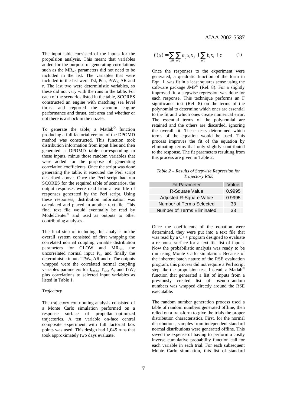The input table consisted of the inputs for the propulsion analysis. This meant that variables added for the purpose of generating correlations such as the  $MR_{\text{req}}$  parameters did not need to be included in the list. The variables that were included in the list were Tsl, Pch,  $P/W_e$  AR and r. The last two were deterministic variables, so these did not vary with the runs in the table. For each of the scenarios listed in the table, SCORES constructed an engine with matching sea level thrust and reported the vacuum engine performance and thrust, exit area and whether or not there is a shock in the nozzle.

To generate the table, a Matlab<sup>©</sup> function producing a full factorial version of the DPOMD method was constructed. This function took distribution information from input files and then generated a DPOMD table corresponding to those inputs, minus those random variables that were added for the purpose of generating correlation coefficients. Once the script was done generating the table, it executed the Perl script described above. Once the Perl script had run SCORES for the required table of scenarios, the output responses were read from a text file of responses generated by the Perl script. Using these responses, distribution information was calculated and placed in another text file. This final text file would eventually be read by ModelCenter<sup>®</sup> and used as outputs to other contributing analyses.

The final step of including this analysis in the overall system consisted of first wrapping the correlated normal coupling variable distribution parameters for GLOW and MR<sub>req</sub>, the uncorrelated normal input  $P_{ch}$  and finally the deterministic inputs  $T/W_v$ , AR and r. The outputs wrapped were the correlated normal coupling variables parameters for  $I_{\text{spvac}}$ ,  $T_{\text{vac}}$ ,  $A_{\text{e}}$  and  $T/W_{\text{e}}$ plus correlations to selected input variables as listed in Table 1.

#### *Trajectory*

The trajectory contributing analysis consisted of a Monte Carlo simulation performed on a response surface of propellant-optimized trajectories. A ten variable on-face central composite experiment with full factorial box points was used. This design had 1,045 runs that took approximately two days evaluate.

$$
f(x) = \sum_{\text{alli}} \sum_{\text{alli}} a_{ij} x_i x_j + \sum_{\text{alli}} b_i x_i + c \tag{1}
$$

Once the responses to the experiment were generated, a quadratic function of the form in Eqn. 1. was fit in a least squares sense using the software package JMP<sup>©</sup> (Ref. 8). For a slightly improved fit, a stepwise regression was done for each response. This technique performs an F significance test (Ref. 8) on the terms of the polynomial to determine which ones are essential to the fit and which ones create numerical error. The essential terms of the polynomial are retained and the others are discarded, ignoring the overall fit. These tests determined which terms of the equation would be used. This process improves the fit of the equation by eliminating terms that only slightly contributed to the response. The fit parameters resulting from this process are given in Table 2.

| Table 2 – Results of Stepwise Regression for |
|----------------------------------------------|
| <i>Trajectory RSE</i>                        |

| <b>Fit Parameter</b>       | Value  |
|----------------------------|--------|
| R-Square Value             | 0.9995 |
| Adjusted R-Square Value    | 0.9995 |
| Number of Terms Selected   | 33     |
| Number of Terms Eliminated | 33     |

Once the coefficients of the equation were determined, they were put into a text file that was read by a C++ program designed to evaluate a response surface for a text file list of inputs. Now the probabilistic analysis was ready to be run using Monte Carlo simulation. Because of the inherent batch nature of the RSE evaluation program, this process did not require a Perl script step like the propulsion test. Instead, a Matlab $\overline{6}$ function that generated a list of inputs from a previously created list of pseudo-random numbers was wrapped directly around the RSE executable.

The random number generation process used a table of random numbers generated offline, then relied on a transform to give the trials the proper distribution characteristics. First, for the normal distributions, samples from independent standard normal distributions were generated offline. This saved the expense of having to perform a costly inverse cumulative probability function call for each variable in each trial. For each subsequent Monte Carlo simulation, this list of standard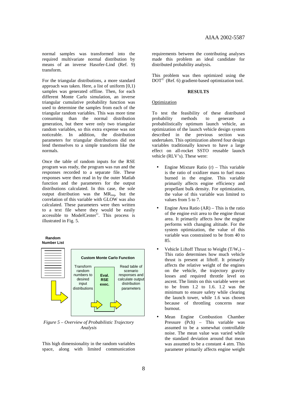normal samples was transformed into the required multivariate normal distribution by means of an inverse Hasofer-Lind (Ref. 9) transform.

For the triangular distributions, a more standard approach was taken. Here, a list of uniform [0,1) samples was generated offline. Then, for each different Monte Carlo simulation, an inverse triangular cumulative probability function was used to determine the samples from each of the triangular random variables. This was more time consuming than the normal distribution generation, but there were only two triangular random variables, so this extra expense was not noticeable. In addition, the distribution parameters for triangular distributions did not lend themselves to a simple transform like the normals.

Once the table of random inputs for the RSE program was ready, the program was run and the responses recorded to a separate file. These responses were then read in by the outer Matlab function and the parameters for the output distributions calculated. In this case, the sole output distribution was the MR<sub>req</sub>, but the correlation of this variable with GLOW was also calculated. These parameters were then written to a text file where they would be easily accessible to ModelCenter<sup>®</sup>. This process is illustrated in Fig. 5.

#### **Random Number List**



*Figure 5 –Overview of Probabilistic Trajectory Analysis*

This high dimensionality in the random variables space, along with limited communication requirements between the contributing analyses made this problem an ideal candidate for distributed probability analysis.

This problem was then optimized using the  $\text{DOT}^{\text{\textcircled{c}}}$  (Ref. 6) gradient-based optimization tool.

## **RESULTS**

# **Optimization**

To test the feasibility of these distributed probability methods to generate a probabilistically optimum launch vehicle, an optimization of the launch vehicle design system described in the previous section was undertaken. This optimization altered four design variables traditionally known to have a large effect on all-rocket SSTO reusable launch vehicle (RLV's). These were:

- Engine Mixture Ratio  $(r)$  This variable is the ratio of oxidizer mass to fuel mass burned in the engine. This variable primarily affects engine efficiency and propellant bulk density. For optimization, the value of this variable was limited to values from 5 to 7.
- Engine Area Ratio  $(AR)$  This is the ratio of the engine exit area to the engine throat area. It primarily affects how the engine performs with changing altitude. For the system optimization, the value of this variable was constrained to be from 40 to 85.
- Vehicle Liftoff Thrust to Weight  $(T/W_y)$  This ratio determines how much vehicle thrust is present at liftoff. It primarily affects the relative weight of the engines on the vehicle, the trajectory gravity losses and required throttle level on ascent. The limits on this variable were set to be from 1.2 to 1.6. 1.2 was the minimum to ensure safety while clearing the launch tower, while 1.6 was chosen because of throttling concerns near burnout.
- Mean Engine Combustion Chamber Pressure (Pch) – This variable was assumed to be a somewhat controllable noise. The mean value was varied while the standard deviation around that mean was assumed to be a constant 4 atm. This parameter primarily affects engine weight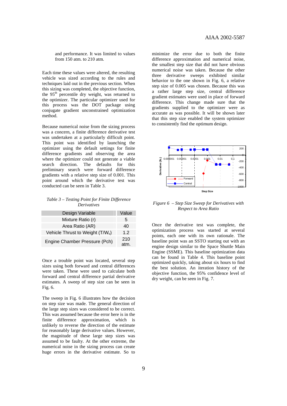and performance. It was limited to values from 150 atm. to 210 atm.

Each time these values were altered, the resulting vehicle was sized according to the rules and techniques laid out in the previous section. When this sizing was completed, the objective function, the 95<sup>th</sup> percentile dry weight, was returned to the optimizer. The particular optimizer used for this process was the DOT package using conjugate gradient unconstrained optimization method.

Because numerical noise from the sizing process was a concern, a finite difference derivative test was undertaken at a particularly difficult point. This point was identified by launching the optimizer using the default settings for finite difference gradients and observing the area where the optimizer could not generate a viable search direction. The defaults for this preliminary search were forward difference gradients with a relative step size of 0.001. This point around which the derivative test was conducted can be seen in Table 3.

*Table 3 –Testing Point for Finite Difference Derivatives*

| Design Variable                              | Value |
|----------------------------------------------|-------|
| Mixture Ratio (r)                            | 5     |
| Area Ratio (AR)                              | 40    |
| Vehicle Thrust to Weight (T/W <sub>v</sub> ) | 1.2   |
| Engine Chamber Pressure (Pch)                | 210   |

Once a trouble point was located, several step sizes using both forward and central differences were taken. These were used to calculate both forward and central difference partial derivative estimates. A sweep of step size can be seen in Fig. 6.

The sweep in Fig. 6 illustrates how the decision on step size was made. The general direction of the large step sizes was considered to be correct. This was assumed because the error here is in the finite difference approximation, which is unlikely to reverse the direction of the estimate for reasonably large derivative values. However, the magnitude of these large step sizes was assumed to be faulty. At the other extreme, the numerical noise in the sizing process can create huge errors in the derivative estimate. So to

minimize the error due to both the finite difference approximation and numerical noise, the smallest step size that did not have obvious numerical noise was taken. Because the other three derivative sweeps exhibited similar behavior to the one shown in Fig. 6, a relative step size of 0.005 was chosen. Because this was a rather large step size, central difference gradient estimates were used in place of forward difference. This change made sure that the gradients supplied to the optimizer were as accurate as was possible. It will be shown later that this step size enabled the system optimizer to consistently find the optimum design.



*Figure 6 –Step Size Sweep for Derivatives with Respect to Area Ratio*

Once the derivative test was complete, the optimization process was started at several points, each one with its own rationale. The baseline point was an SSTO starting out with an engine design similar to the Space Shuttle Main Engine (SSME). This baseline optimization data can be found in Table 4. This baseline point optimized quickly, taking about six hours to find the best solution. An iteration history of the objective function, the 95% confidence level of dry weight, can be seen in Fig. 7.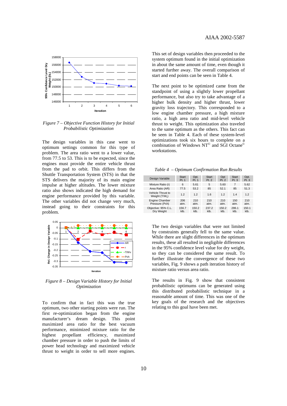

*Figure 7 –Objective Function History for Initial Probabilistic Optimization*

The design variables in this case went to optimum settings common for this type of problem. The area ratio went to a lower value, from 77.5 to 53. This is to be expected, since the engines must provide the entire vehicle thrust from the pad to orbit. This differs from the Shuttle Transportation System (STS) in that the STS delivers the majority of its main engine impulse at higher altitudes. The lower mixture ratio also shows indicated the high demand for engine performance provided by this variable. The other variables did not change very much, instead going to their constraints for this problem.



*Figure 8 –Design Variable History for Initial Optimization*

To confirm that in fact this was the true optimum, two other starting points were run. The first re-optimization began from the engine manufacturer's dream design. This point maximized area ratio for the best vacuum performance, minimized mixture ratio for the highest propellant efficiency, maximized chamber pressure in order to push the limits of power head technology and maximized vehicle thrust to weight in order to sell more engines. This set of design variables then proceeded to the system optimum found in the initial optimization in about the same amount of time, even though it started further away. The overall comparison of start and end points can be seen in Table 4.

The next point to be optimized came from the standpoint of using a slightly lower propellant performance, but also try to take advantage of a higher bulk density and higher thrust, lower gravity loss trajectory. This corresponded to a low engine chamber pressure, a high mixture ratio, a high area ratio and mid-level vehicle thrust to weight. This optimization also traveled to the same optimum as the others. This fact can be seen in Table 4. Each of these system-level optimizations took six hours to complete on a combination of Windows NT<sup>®</sup> and SGI Octane<sup>©</sup> workstations.

*Table 4 –Optimum Confirmation Run Results*

| Design Variable                                 | Start | Opt.  | <b>Start</b> | Opt   | <b>Start</b>   | Opt.  |
|-------------------------------------------------|-------|-------|--------------|-------|----------------|-------|
|                                                 | Pt. 1 | Pt. 1 | Pt. 2        | Pt. 2 | Pt. 3          | Pt. 3 |
| Mixture Ratio (r)                               | 6     | 5.61  | 5            | 5.60  | $\overline{7}$ | 5.62  |
| Area Ratio (AR)                                 | 77.5  | 53.2  | 85           | 52.1  | 85             | 51.3  |
| Vehicle Thrust to<br>Weight (T/W <sub>v</sub> ) | 1.2   | 1.2   | 1.6          | 1.2   | 1.4            | 1.2   |
| <b>Engine Chamber</b>                           | 206   | 210   | 210          | 210   | 150            | 210   |
| Pressure (Pch)                                  | atm.  | atm.  | atm.         | atm.  | atm.           | atm.  |
| Objective: 95% C.L.                             | 156.7 | 150.2 | 237.2        | 150.2 | 286.1          | 150.1 |
| Drv Weight                                      | klb.  | klb.  | klb.         | klb.  | klb.           | klb.  |

The two design variables that were not limited by constraints generally fell to the same value. While there are slight differences in the optimum results, these all resulted in negligible differences in the 95% confidence level value for dry weight, so they can be considered the same result. To further illustrate the convergence of these two variables, Fig. 9 shows a path iteration history of mixture ratio versus area ratio.

The results in Fig. 9 show that consistent probabilistic optimums can be generated using this distributed probabilistic technique in a reasonable amount of time. This was one of the key goals of the research and the objectives relating to this goal have been met.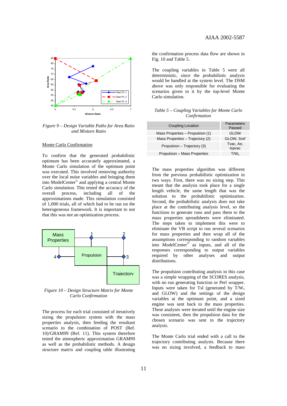

*Figure 9 –Design Variable Paths for Area Ratio and Mixture Ratio*

# Monte Carlo Confirmation

To confirm that the generated probabilistic optimum has been accurately approximated, a Monte Carlo simulation of the optimum point was executed. This involved removing authority over the local noise variables and bringing them into ModelCenter © and applying a central Monte Carlo simulation. This tested the accuracy of the overall process, including all of the approximations made. This simulation consisted of 1,000 trials, all of which had to be run on the heterogeneous framework. It is important to not that this was not an optimization process.



*Figure 10 –Design Structure Matrix for Monte Carlo Confirmation*

The process for each trial consisted of iteratively sizing the propulsion system with the mass properties analysis, then feeding the resultant scenario to the combination of POST (Ref. 10)/GRAM99 (Ref. 11). This system therefore tested the atmospheric approximation GRAM99 as well as the probabilistic methods. A design structure matrix and coupling table illustrating

the confirmation process data flow are shown in Fig. 10 and Table 5.

The coupling variables in Table 5 were all deterministic, since the probabilistic analysis would be handled at the system level. The DSM above was only responsible for evaluating the scenarios given to it by the top-level Monte Carlo simulation.

*Table 5 –Coupling Variables for Monte Carlo Confirmation*

| <b>Coupling Location</b>         | Parameters<br>Passed |
|----------------------------------|----------------------|
| Mass Properties - Propulsion (1) | <b>GLOW</b>          |
| Mass Properties - Trajectory (2) | GLOW, Sref           |
| Propulsion - Trajectory (3)      | Tvac, Ae,<br>Ispvac  |
| Propulsion - Mass Properties     | $T/W_{\rm e}$        |

The mass properties algorithm was different from the previous probabilistic optimization in two ways. First, there was no sizing step. This meant that the analysis took place for a single length vehicle, the same length that was the solution to the probabilistic optimization. Second, the probabilistic analysis does not take place at the contributing analysis level, so the functions to generate runs and pass them to the mass properties spreadsheets were eliminated. The steps taken to implement this were to eliminate the VB script to run several scenarios for mass properties and then wrap all of the assumptions corresponding to random variables into ModelCenter © as inputs, and all of the responses corresponding to output variables required by other analyses and output distributions.

The propulsion contributing analysis in this case was a simple wrapping of the SCORES analysis, with no run generating function or Perl wrapper. Inputs were taken for Tsl (generated by  $T/W_v$ and GLOW) and the settings of the design variables at the optimum point, and a sized engine was sent back to the mass properties. These analyses were iterated until the engine size was consistent, then the propulsion data for the chosen scenario was sent to the trajectory analysis.

The Monte Carlo trial ended with a call to the trajectory contributing analysis. Because there was no sizing involved, a feedback to mass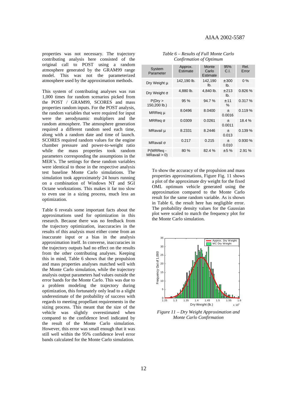properties was not necessary. The trajectory contributing analysis here consisted of the original call to POST using a random atmosphere generated by the GRAM99 range model. This was not the parameterized atmosphere used by the approximation methods.

This system of contributing analyses was run 1,000 times for random scenarios picked from the POST / GRAM99, SCORES and mass properties random inputs. For the POST analysis, the random variables that were required for input were the aerodynamic multipliers and the random atmosphere. The atmosphere generation required a different random seed each time, along with a random date and time of launch. SCORES required random values for the engine chamber pressure and power-to-weight ratio while the mass properties took random parameters corresponding the assumptions in the MER's. The settings for these random variables were identical to those in the respective analysis test baseline Monte Carlo simulations. The simulation took approximately 24 hours running on a combination of Windows NT and SGI Octane workstations. This makes it far too slow to even use in a sizing process, much less an optimization.

Table 6 reveals some important facts about the approximations used for optimization in this research. Because there was no feedback from the trajectory optimization, inaccuracies in the results of this analysis must either come from an inaccurate input or a bias in the analysis approximation itself. In converse, inaccuracies in the trajectory outputs had no effect on the results from the other contributing analyses. Keeping this in mind, Table 6 shows that the propulsion and mass properties analyses matched well with the Monte Carlo simulation, while the trajectory analysis output parameters had values outside the error bands for the Monte Carlo. This was due to a problem modeling the trajectory during optimization, this fortunately only lead to a slight underestimate of the probability of success with regards to meeting propellant requirements in the sizing process. This meant that the size of the vehicle was slightly overestimated when compared to the confidence level indicated by the result of the Monte Carlo simulation. However, this error was small enough that it was still well within the 95% confidence level error bands calculated for the Monte Carlo simulation.

| System<br>Parameter     | Approx.<br>Estimate | Monte<br>Carlo<br>Estimate | 95%<br>C.I.     | Rel.<br>Error |
|-------------------------|---------------------|----------------------------|-----------------|---------------|
| Dry Weight µ            | 142,190 lb.         | 142,190<br>lb.             | ± 300<br>lb.    | $0\%$         |
| Dry Weight $\sigma$     | 4,880 lb.           | 4,840 lb.                  | ± 213<br>lb.    | 0.826%        |
| P(Dry ><br>150,200 lb.) | 95%                 | 94.7%                      | ± 11<br>$\%$    | 0.317%        |
| MRReq μ                 | 8.0496              | 8.0400                     | $+$<br>0.0016   | 0.119%        |
| MRReq σ                 | 0.0309              | 0.0261                     | $\pm$<br>0.0011 | 18.4%         |
| MRavail µ               | 8.2331              | 8.2446                     | $^{+}$<br>0.013 | 0.139%        |
| MRavail σ               | 0.217               | 0.215                      | $^{+}$<br>0.010 | 0.930%        |
| P(MRReq -<br>MRaval > 0 | 80%                 | 82.4 %                     | $+5%$           | 2.91%         |

#### *Table 6 –Results of Full Monte Carlo Confirmation of Optimum*

To show the accuracy of the propulsion and mass properties approximations, Figure Fig. 11 shows a plot of the approximate dry weight for the fixed OML optimum vehicle generated using the approximation compared to the Monte Carlo result for the same random variable. As is shown in Table 6, the result here has negligible error. The probability density values for the Gaussian plot were scaled to match the frequency plot for the Monte Carlo simulation.



*Figure 11 –Dry Weight Approximation and Monte Carlo Confirmation*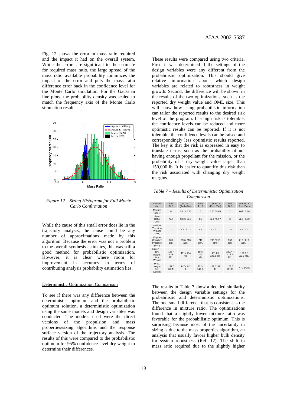Fig. 12 shows the error in mass ratio required and the impact it had on the overall system. While the errors are significant to the estimate for required mass ratio, the large spread of the mass ratio available probability minimizes the impact of the error and puts the mass ratio difference error back in the confidence level for the Monte Carlo simulation. For the Gaussian line plots, the probability density was scaled to match the frequency axis of the Monte Carlo simulation results.



*Figure 12 –Sizing Histogram for Full Monte Carlo Confirmation*

While the cause of this small error does lie in the trajectory analysis, the cause could be any number of approximations made by this algorithm. Because the error was not a problem to the overall synthesis estimates, this was still a good method for probabilistic optimization. However, it is clear where room for improvement in accuracy in terms of contributing analysis probability estimation lies.

# Deterministic Optimization Comparison

To see if there was any difference between the deterministic optimum and the probabilistic optimum solution, a deterministic optimization using the same models and design variables was conducted. The models used were the direct versions of the propulsion and mass properties/sizing algorithms and the response surface version of the trajectory analysis. The results of this were compared to the probabilistic optimum for 95% confidence level dry weight to determine their differences.

These results were compared using two criteria. First, it was determined if the settings of the design variables were any different from the probabilistic optimization. This should give relative information about which design variables are related to robustness in weight growth. Second, the difference will be shown in the results of the two optimizations, such as the reported dry weight value and OML size. This will show how using probabilistic information can tailor the reported results to the desired risk level of the program. If a high risk is tolerable, the confidence levels can be reduced and more optimistic results can be reported. If it is not tolerable, the confidence levels can be raised and correspondingly less optimistic results reported. The key is that the risk is expressed in easy to translate terms, such as the probability of not having enough propellant for the mission, or the probability of a dry weight value larger than 150,000 lb. It is easier to quantify this risk than the risk associated with changing dry weight margins.

*Table 7 –Results of Deterministic Optimization Comparison*

| Design<br>Var.                               | <b>Start</b><br>Pt. 1 | Opt. Pt. 1<br>(Prob./Det) | <b>Start</b><br>Pt. 2 | Opt Pt. 2<br>(Prob./Det) | <b>Start</b><br>Pt. 3   | Opt. Pt. 3<br><sup>2</sup> rob./Det.) |
|----------------------------------------------|-----------------------|---------------------------|-----------------------|--------------------------|-------------------------|---------------------------------------|
| Mixture<br>Ratio (r)                         | 6                     | 5.61 / 5.65               | 5                     | 5.60 / 5.65              | $\overline{7}$          | 5.62 / 5.66                           |
| Area<br>Ratio<br>(AR)                        | 77.5                  | 53.2 / 52.3               | 85                    | 52.1 / 52.7              | 85                      | 51.3 / 54.0                           |
| Vehicle<br>Thrust to<br>Weight<br>$(T/W_v)$  | 1.2                   | $1.2$ / $1.2$             | 1.6                   | 1.2 / 1.2                | 1.4                     | 1.2/1.2                               |
| Engine<br>Chamber<br>Pressure<br>(Pch)       | 206<br>atm.           | 210/210<br>atm.           | 210<br>atm.           | 210/210<br>atm.          | 150<br>atm.             | 210/210<br>atm.                       |
| 95% C.L.<br>Dry<br>Weight /<br>Dry<br>Weight | 158/<br>139<br>klb.   | 151 / 134<br>klb.         | 186/<br>164<br>klb.   | 151.0/<br>133.8 klb.     | 250.4/<br>213.7<br>klb. | 151.1/<br>133.9 klb.                  |
| Prob.<br>Length /<br>Det.<br>Length          | 147/<br>142 ft.       | 147 / 142<br>ft.          | 152/<br>147 ft.       | 147 / 142<br>ft.         | 168/<br>161 ft.         | 47 / 142 ft.                          |

The results in Table 7 show a decided similarity between the design variable settings for the probabilistic and deterministic optimizations. The one small difference that is consistent is the difference in mixture ratio. The optimizations found that a slightly lower mixture ratio was favorable for the probabilistic optimum. This is surprising because most of the uncertainty in sizing is due to the mass properties algorithm, an analysis that usually favors higher bulk density for system robustness (Ref. 12). The shift in mass ratio required due to the slightly higher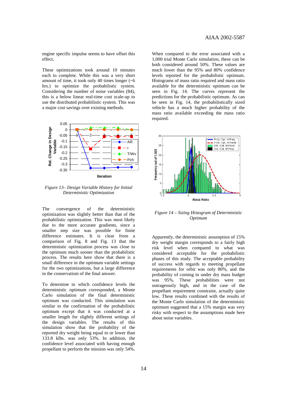engine specific impulse seems to have offset this effect.

These optimizations took around 10 minutes each to complete. While this was a very short amount of time, it took only 40 times longer (~6 hrs.) to optimize the probabilistic system. Considering the number of noise variables (84), this is a below linear real-time cost scale-up to use the distributed probabilistic system. This was a major cost savings over existing methods.



*Figure 13–Design Variable History for Initial Deterministic Optimization*

The convergence of the deterministic optimization was slightly better than that of the probabilistic optimization. This was most likely due to the more accurate gradients, since a smaller step size was possible for finite difference estimates. It is clear from a comparison of Fig. 8 and Fig. 13 that the deterministic optimization process was close to the optimum much sooner than the probabilistic process. The results here show that there is a small difference in the optimum variable settings for the two optimizations, but a large difference in the conservatism of the final answer.

To determine to which confidence levels the deterministic optimum corresponded, a Monte Carlo simulation of the final deterministic optimum was conducted. This simulation was similar to the confirmation of the probabilistic optimum except that it was conducted at a smaller length for slightly different settings of the design variables. The results of this simulation show that the probability of the reported dry weight being equal to or lower than 133.8 klbs. was only 53%. In addition, the confidence level associated with having enough propellant to perform the mission was only 54%.

When compared to the error associated with a 1,000 trial Monte Carlo simulation, these can be both considered around 50%. These values are much lower than the 95% and 80% confidence levels reported for the probabilistic optimum. Histograms of mass ratio required and mass ratio available for the deterministic optimum can be seen in Fig. 14. The curves represent the predictions for the probabilistic optimum. As can be seen in Fig. 14, the probabilistically sized vehicle has a much higher probability of the mass ratio available exceeding the mass ratio required.



*Figure 14 –Sizing Histogram of Deterministic Optimum*

Apparently, the deterministic assumption of 15% dry weight margin corresponds to a fairly high risk level when compared to what was considered acceptable for the probabilistic phases of this study. The acceptable probability of success with regards to meeting propellant requirements for orbit was only 80%, and the probability of coming in under dry mass budget was 95%. These probabilities were not outrageously high, and in the case of the propellant requirement constraint, actually quite low. These results combined with the results of the Monte Carlo simulation of the deterministic optimum suggested that a 15% margin was very risky with respect to the assumptions made here about noise variables.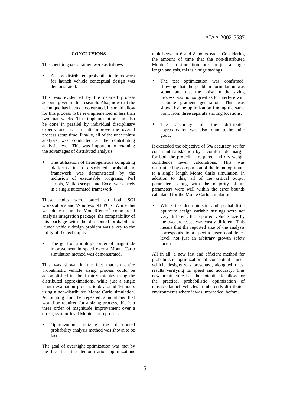#### **CONCLUSIONS**

The specific goals attained were as follows:

• A new distributed probabilistic framework for launch vehicle conceptual design was demonstrated.

This was evidenced by the detailed process account given in this research. Also, now that the technique has been demonstrated, it should allow for this process to be re-implemented in less than two man-weeks. This implementation can also be done in parallel by individual disciplinary experts and as a result improve the overall process setup time. Finally, all of the uncertainty analysis was conducted at the contributing analysis level. This was important to retaining the advantages of distributed analysis.

The utilization of heterogeneous computing platforms in a distributed probabilistic framework was demonstrated by the inclusion of executable programs, Perl scripts, Matlab scripts and Excel worksheets in a single automated framework.

These codes were based on both SGI workstations and Windows NT PC's. While this was done using the ModelCenter<sup>©</sup> commercial analysis integration package, the compatibility of this package with the distributed probabilistic launch vehicle design problem was a key to the utility of the technique.

The goal of a multiple order of magnitude improvement in speed over a Monte Carlo simulation method was demonstrated.

This was shown in the fact that an entire probabilistic vehicle sizing process could be accomplished in about thirty minutes using the distributed approximations, while just a single length evaluation process took around 16 hours using a non-distributed Monte Carlo simulation. Accounting for the repeated simulations that would be required for a sizing process, this is a three order of magnitude improvement over a direct, system-level Monte Carlo process.

• Optimization utilizing the distributed probability analysis method was shown to be fast.

The goal of overnight optimization was met by the fact that the demonstration optimizations

took between 6 and 8 hours each. Considering the amount of time that the non-distributed Monte Carlo simulation took for just a single length analysis, this is a huge savings.

- The test optimization was confirmed, showing that the problem formulation was sound and that the noise in the sizing process was not so great as to interfere with accurate gradient generation. This was shown by the optimization finding the same point from three separate starting locations.
- The accuracy of the distributed approximation was also found to be quite good.

It exceeded the objective of 5% accuracy set for constraint satisfaction by a comfortable margin for both the propellant required and dry weight confidence level calculations. This was determined by comparison of the found optimum to a single length Monte Carlo simulation. In addition to this, all of the critical output parameters, along with the majority of all parameters were well within the error bounds calculated for the Monte Carlo simulation.

While the deterministic and probabilistic optimum design variable settings were not very different, the reported vehicle size by the two processes was vastly different. This means that the reported size of the analysis corresponds to a specific user confidence level, not just an arbitrary growth safety factor.

All in all, a new fast and efficient method for probabilistic optimization of conceptual launch vehicle designs was presented, along with test results verifying its speed and accuracy. This new architecture has the potential to allow for the practical probabilistic optimization of reusable launch vehicles in inherently distributed environments where it was impractical before.